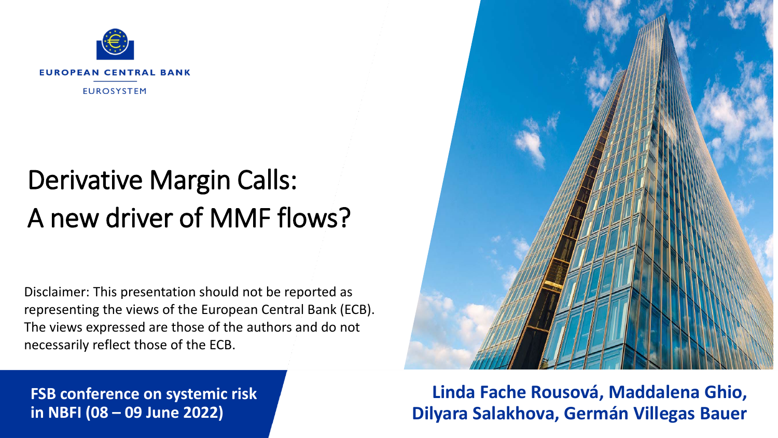

# Derivative Margin Calls: A new driver of MMF flows?

Disclaimer: This presentation should not be reported as representing the views of the European Central Bank (ECB). The views expressed are those of the authors and do not necessarily reflect those of the ECB.

**FSB conference on systemic risk in NBFI (08 – 09 June 2022)**

**Linda Fache Rousová, Maddalena Ghio, Dilyara Salakhova, Germán Villegas Bauer**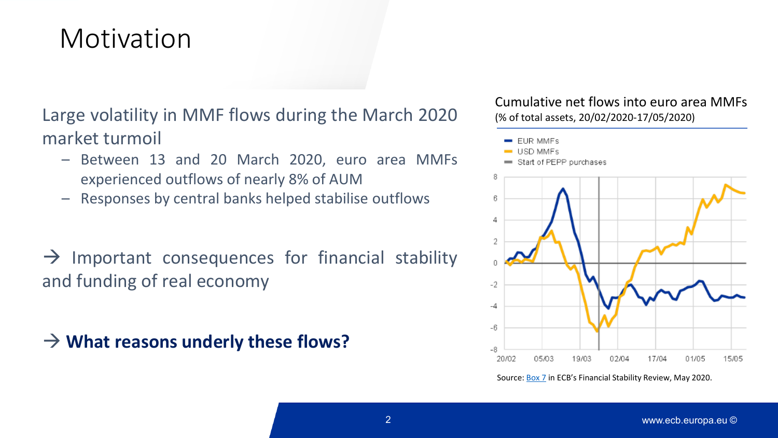## Motivation

Large volatility in MMF flows during the March 2020 market turmoil

- Between 13 and 20 March 2020, euro area MMFs experienced outflows of nearly 8% of AUM
- Responses by central banks helped stabilise outflows

 $\rightarrow$  Important consequences for financial stability and funding of real economy

**What reasons underly these flows?**

Cumulative net flows into euro area MMFs (% of total assets, 20/02/2020-17/05/2020)



Source: [Box 7](https://www.ecb.europa.eu/pub/financial-stability/fsr/focus/2020/html/ecb.fsrbox202005_07%7E725c8a7ec8.en.html) in ECB's Financial Stability Review, May 2020.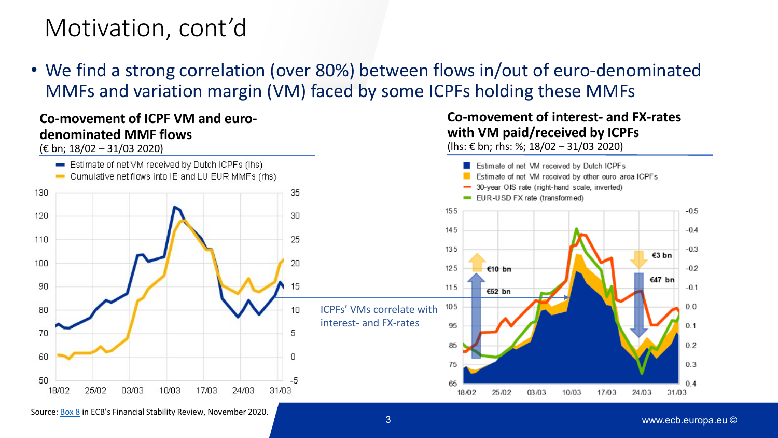### Motivation, cont'd

• We find a strong correlation (over 80%) between flows in/out of euro-denominated MMFs and variation margin (VM) faced by some ICPFs holding these MMFs

#### **Co-movement of ICPF VM and eurodenominated MMF flows**

(€ bn; 18/02 – 31/03 2020)



#### **Co-movement of interest- and FX-rates with VM paid/received by ICPFs**

(lhs: € bn; rhs: %; 18/02 – 31/03 2020)

 $-0.2$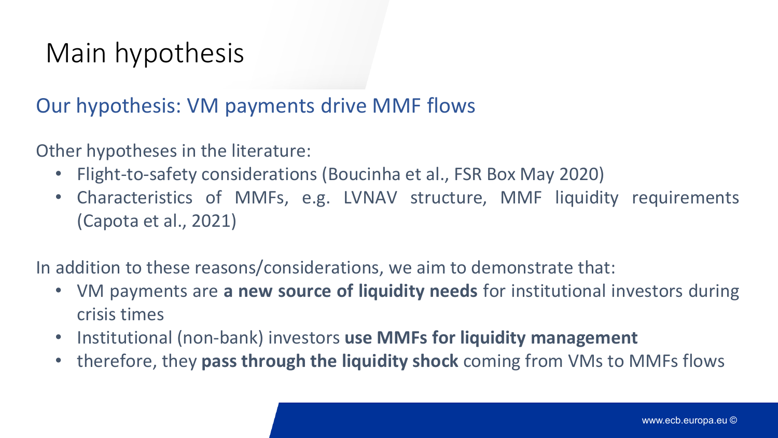# Main hypothesis

#### Our hypothesis: VM payments drive MMF flows

Other hypotheses in the literature:

- Flight-to-safety considerations (Boucinha et al., FSR Box May 2020)
- Characteristics of MMFs, e.g. LVNAV structure, MMF liquidity requirements (Capota et al., 2021)

In addition to these reasons/considerations, we aim to demonstrate that:

- VM payments are **a new source of liquidity needs** for institutional investors during crisis times
- Institutional (non-bank) investors **use MMFs for liquidity management**
- therefore, they **pass through the liquidity shock** coming from VMs to MMFs flows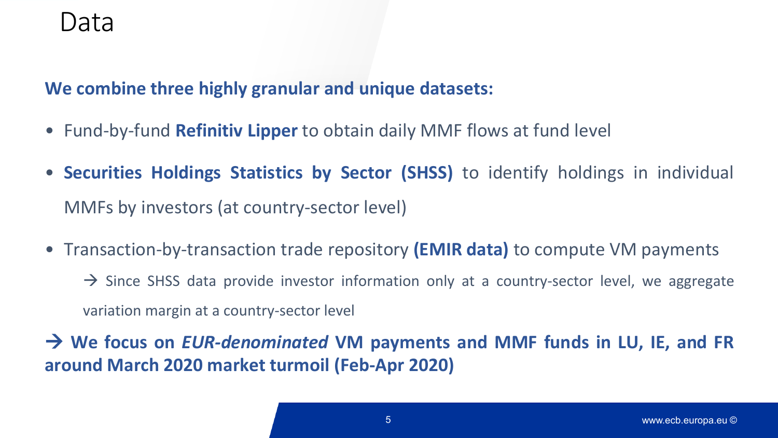### Data

**We combine three highly granular and unique datasets:**

- Fund-by-fund **Refinitiv Lipper** to obtain daily MMF flows at fund level
- **Securities Holdings Statistics by Sector (SHSS)** to identify holdings in individual MMFs by investors (at country-sector level)
- Transaction-by-transaction trade repository **(EMIR data)** to compute VM payments  $\rightarrow$  Since SHSS data provide investor information only at a country-sector level, we aggregate

variation margin at a country-sector level

 **We focus on** *EUR-denominated* **VM payments and MMF funds in LU, IE, and FR around March 2020 market turmoil (Feb-Apr 2020)**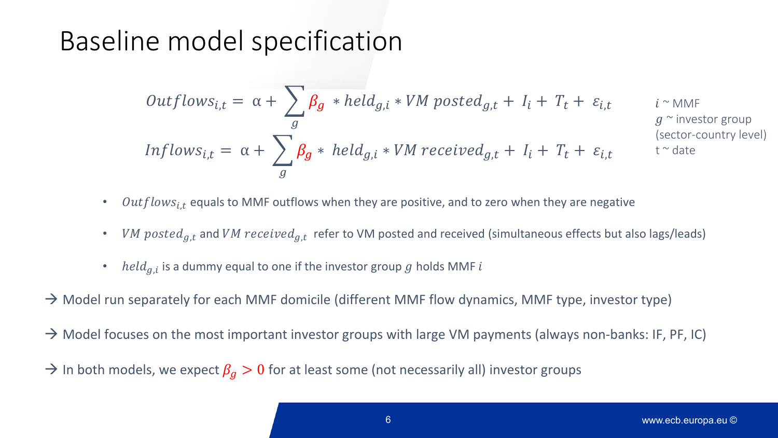## Baseline model specification

$$
Outflows_{i,t} = \alpha + \sum_{g} \beta_{g} * held_{g,i} * VM\,posted_{g,t} + I_{i} + T_{t} + \varepsilon_{i,t} \qquad i^{\sim \text{MMF}}_{g^{\sim \text{investor group}}}
$$
\n
$$
Inflows_{i,t} = \alpha + \sum_{g} \beta_{g} * held_{g,i} * VM\,received_{g,t} + I_{i} + T_{t} + \varepsilon_{i,t} \qquad t^{\sim} date
$$
\n
$$
(sector-country level)
$$

- $Outflows_{i,t}$  equals to MMF outflows when they are positive, and to zero when they are negative
- VM posted<sub>a,t</sub> and VM received<sub>a,t</sub> refer to VM posted and received (simultaneous effects but also lags/leads)
- $\text{held}_{g,i}$  is a dummy equal to one if the investor group g holds MMF i
- $\rightarrow$  Model run separately for each MMF domicile (different MMF flow dynamics, MMF type, investor type)
- → Model focuses on the most important investor groups with large VM payments (always non-banks: IF, PF, IC)
- $\rightarrow$  In both models, we expect  $\beta_q > 0$  for at least some (not necessarily all) investor groups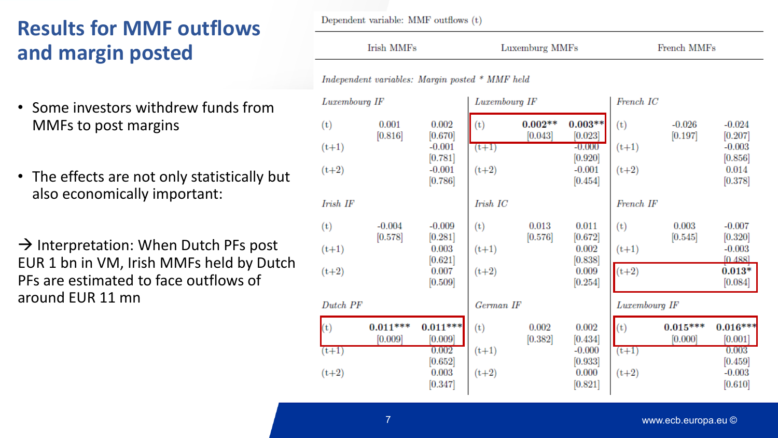#### **Results for MMF outflows and margin posted**

- Some investors withdrew funds from MMFs to post margins
- The effects are not only statistically but also economically important:
- $\rightarrow$  Interpretation: When Dutch PFs post EUR 1 bn in VM, Irish MMFs held by Dutch PFs are estimated to face outflows of around EUR 11 mn

Dependent variable: MMF outflows (t)

| Irish MMFs                                      |                       |                                                               | Luxemburg MMFs            |                      |                                                             | <b>French MMFs</b>        |                       |                                                                  |
|-------------------------------------------------|-----------------------|---------------------------------------------------------------|---------------------------|----------------------|-------------------------------------------------------------|---------------------------|-----------------------|------------------------------------------------------------------|
| Independent variables: Margin posted * MMF held |                       |                                                               |                           |                      |                                                             |                           |                       |                                                                  |
| Luxembourg IF                                   |                       |                                                               | Luxembourg IF             |                      |                                                             | French IC                 |                       |                                                                  |
| (t)<br>$(t+1)$                                  | 0.001<br>[0.816]      | 0.002<br>[0.670]<br>$-0.001$                                  | (t)<br>$(t+1)$            | $0.002**$<br>[0.043] | $0.003**$<br>[0.023]<br>$-0.000$                            | (t)<br>$(t+1)$            | $-0.026$<br>[0.197]   | $-0.024$<br>[0.207]<br>$-0.003$                                  |
| $(t+2)$                                         |                       | [0.781]<br>$-0.001$<br>[0.786]                                | $(t+2)$                   |                      | [0.920]<br>$-0.001$<br>[0.454]                              | $(t+2)$                   |                       | [0.856]<br>0.014<br>[0.378]                                      |
| Irish IF                                        |                       |                                                               | Irish IC                  |                      |                                                             | French IF                 |                       |                                                                  |
| (t)<br>$(t+1)$                                  | $-0.004$<br>[0.578]   | $-0.009$<br>[0.281]<br>0.003<br>[0.621]                       | (t)<br>$(t+1)$            | 0.013<br>[0.576]     | 0.011<br>[0.672]<br>0.002<br>[0.838]                        | (t)<br>$(t+1)$            | 0.003<br>[0.545]      | $-0.007$<br>[0.320]<br>$-0.003$<br>[0.488]                       |
| $(t+2)$                                         |                       | 0.007<br>[0.509]                                              | $(t+2)$                   |                      | 0.009<br>[0.254]                                            | $(t+2)$                   |                       | $0.013*$<br>[0.084]                                              |
| Dutch PF                                        |                       |                                                               | German IF                 |                      |                                                             | Luxembourg IF             |                       |                                                                  |
| (t)<br>$(t+1)$<br>$(t+2)$                       | $0.011***$<br>[0.009] | $0.011***$<br>[0.009]<br>0.002<br>[0.652]<br>0.003<br>[0.347] | (t)<br>$(t+1)$<br>$(t+2)$ | 0.002<br>[0.382]     | 0.002<br>[0.434]<br>$-0.000$<br>[0.933]<br>0.000<br>[0.821] | (t)<br>$(t+1)$<br>$(t+2)$ | $0.015***$<br>[0.000] | $0.016***$<br>[0.001]<br>0.003<br>[0.459]<br>$-0.003$<br>[0.610] |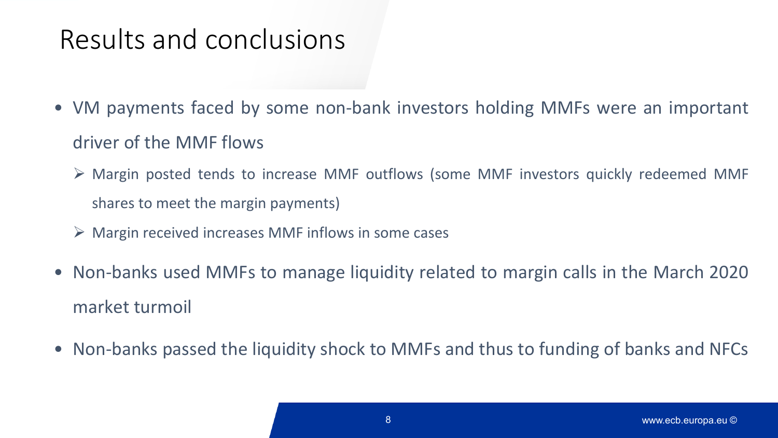## Results and conclusions

- VM payments faced by some non-bank investors holding MMFs were an important driver of the MMF flows
	- Margin posted tends to increase MMF outflows (some MMF investors quickly redeemed MMF shares to meet the margin payments)
	- $\triangleright$  Margin received increases MMF inflows in some cases
- Non-banks used MMFs to manage liquidity related to margin calls in the March 2020 market turmoil
- Non-banks passed the liquidity shock to MMFs and thus to funding of banks and NFCs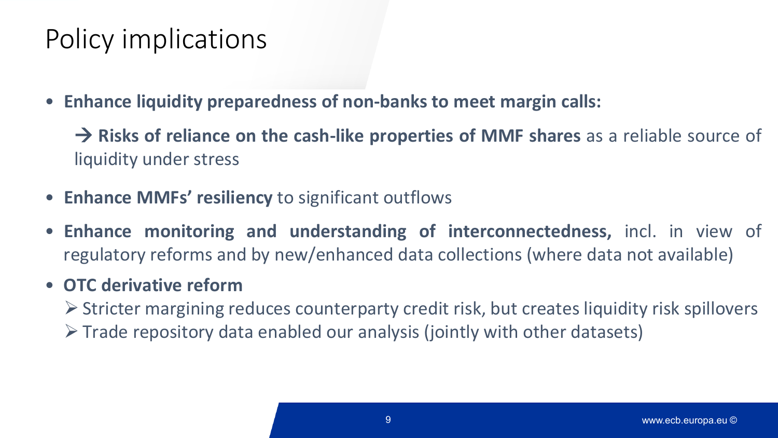# Policy implications

• **Enhance liquidity preparedness of non-banks to meet margin calls:**

 **Risks of reliance on the cash-like properties of MMF shares** as a reliable source of liquidity under stress

- **Enhance MMFs' resiliency** to significant outflows
- **Enhance monitoring and understanding of interconnectedness,** incl. in view of regulatory reforms and by new/enhanced data collections (where data not available)

#### • **OTC derivative reform**

- $\triangleright$  Stricter margining reduces counterparty credit risk, but creates liquidity risk spillovers
- $\triangleright$  Trade repository data enabled our analysis (jointly with other datasets)